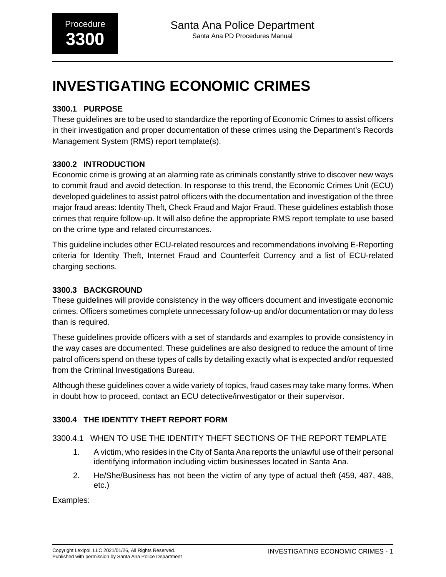# **INVESTIGATING ECONOMIC CRIMES**

# **3300.1 PURPOSE**

These guidelines are to be used to standardize the reporting of Economic Crimes to assist officers in their investigation and proper documentation of these crimes using the Department's Records Management System (RMS) report template(s).

# **3300.2 INTRODUCTION**

Economic crime is growing at an alarming rate as criminals constantly strive to discover new ways to commit fraud and avoid detection. In response to this trend, the Economic Crimes Unit (ECU) developed guidelines to assist patrol officers with the documentation and investigation of the three major fraud areas: Identity Theft, Check Fraud and Major Fraud. These guidelines establish those crimes that require follow-up. It will also define the appropriate RMS report template to use based on the crime type and related circumstances.

This guideline includes other ECU-related resources and recommendations involving E-Reporting criteria for Identity Theft, Internet Fraud and Counterfeit Currency and a list of ECU-related charging sections.

# **3300.3 BACKGROUND**

These guidelines will provide consistency in the way officers document and investigate economic crimes. Officers sometimes complete unnecessary follow-up and/or documentation or may do less than is required.

These guidelines provide officers with a set of standards and examples to provide consistency in the way cases are documented. These guidelines are also designed to reduce the amount of time patrol officers spend on these types of calls by detailing exactly what is expected and/or requested from the Criminal Investigations Bureau.

Although these guidelines cover a wide variety of topics, fraud cases may take many forms. When in doubt how to proceed, contact an ECU detective/investigator or their supervisor.

# **3300.4 THE IDENTITY THEFT REPORT FORM**

3300.4.1 WHEN TO USE THE IDENTITY THEFT SECTIONS OF THE REPORT TEMPLATE

- 1. A victim, who resides in the City of Santa Ana reports the unlawful use of their personal identifying information including victim businesses located in Santa Ana.
- 2. He/She/Business has not been the victim of any type of actual theft (459, 487, 488, etc.)

Examples: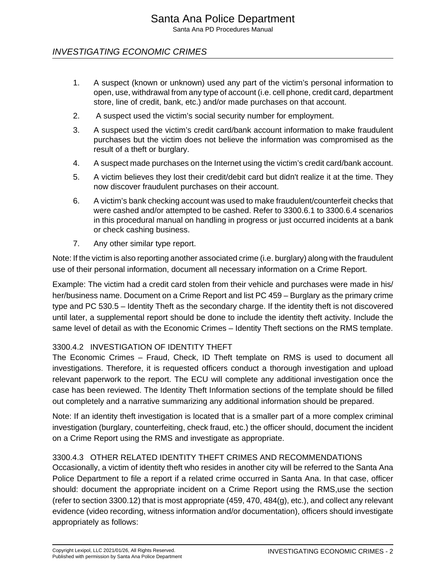# INVESTIGATING ECONOMIC CRIMES

- 1. A suspect (known or unknown) used any part of the victim's personal information to open, use, withdrawal from any type of account (i.e. cell phone, credit card, department store, line of credit, bank, etc.) and/or made purchases on that account.
- 2. A suspect used the victim's social security number for employment.
- 3. A suspect used the victim's credit card/bank account information to make fraudulent purchases but the victim does not believe the information was compromised as the result of a theft or burglary.
- 4. A suspect made purchases on the Internet using the victim's credit card/bank account.
- 5. A victim believes they lost their credit/debit card but didn't realize it at the time. They now discover fraudulent purchases on their account.
- 6. A victim's bank checking account was used to make fraudulent/counterfeit checks that were cashed and/or attempted to be cashed. Refer to 3300.6.1 to 3300.6.4 scenarios in this procedural manual on handling in progress or just occurred incidents at a bank or check cashing business.
- 7. Any other similar type report.

Note: If the victim is also reporting another associated crime (i.e. burglary) along with the fraudulent use of their personal information, document all necessary information on a Crime Report.

Example: The victim had a credit card stolen from their vehicle and purchases were made in his/ her/business name. Document on a Crime Report and list PC 459 – Burglary as the primary crime type and PC 530.5 – Identity Theft as the secondary charge. If the identity theft is not discovered until later, a supplemental report should be done to include the identity theft activity. Include the same level of detail as with the Economic Crimes – Identity Theft sections on the RMS template.

#### 3300.4.2 INVESTIGATION OF IDENTITY THEFT

The Economic Crimes – Fraud, Check, ID Theft template on RMS is used to document all investigations. Therefore, it is requested officers conduct a thorough investigation and upload relevant paperwork to the report. The ECU will complete any additional investigation once the case has been reviewed. The Identity Theft Information sections of the template should be filled out completely and a narrative summarizing any additional information should be prepared.

Note: If an identity theft investigation is located that is a smaller part of a more complex criminal investigation (burglary, counterfeiting, check fraud, etc.) the officer should, document the incident on a Crime Report using the RMS and investigate as appropriate.

#### 3300.4.3 OTHER RELATED IDENTITY THEFT CRIMES AND RECOMMENDATIONS

Occasionally, a victim of identity theft who resides in another city will be referred to the Santa Ana Police Department to file a report if a related crime occurred in Santa Ana. In that case, officer should: document the appropriate incident on a Crime Report using the RMS,use the section (refer to section 3300.12) that is most appropriate (459, 470, 484(g), etc.), and collect any relevant evidence (video recording, witness information and/or documentation), officers should investigate appropriately as follows: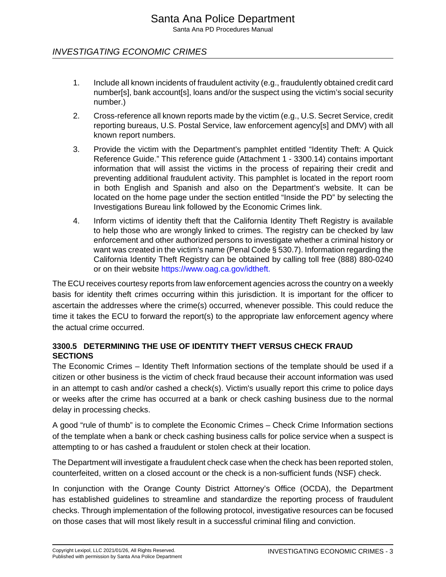# INVESTIGATING ECONOMIC CRIMES

- 1. Include all known incidents of fraudulent activity (e.g., fraudulently obtained credit card number[s], bank account[s], loans and/or the suspect using the victim's social security number.)
- 2. Cross-reference all known reports made by the victim (e.g., U.S. Secret Service, credit reporting bureaus, U.S. Postal Service, law enforcement agency[s] and DMV) with all known report numbers.
- 3. Provide the victim with the Department's pamphlet entitled "Identity Theft: A Quick Reference Guide." This reference guide (Attachment 1 - 3300.14) contains important information that will assist the victims in the process of repairing their credit and preventing additional fraudulent activity. This pamphlet is located in the report room in both English and Spanish and also on the Department's website. It can be located on the home page under the section entitled "Inside the PD" by selecting the Investigations Bureau link followed by the Economic Crimes link.
- 4. Inform victims of identity theft that the California Identity Theft Registry is available to help those who are wrongly linked to crimes. The registry can be checked by law enforcement and other authorized persons to investigate whether a criminal history or want was created in the victim's name (Penal Code § 530.7). Information regarding the California Identity Theft Registry can be obtained by calling toll free (888) 880-0240 or on their website [https://www.oag.ca.gov/idtheft.](https://www.oag.ca.gov/idtheft)

The ECU receives courtesy reports from law enforcement agencies across the country on a weekly basis for identity theft crimes occurring within this jurisdiction. It is important for the officer to ascertain the addresses where the crime(s) occurred, whenever possible. This could reduce the time it takes the ECU to forward the report(s) to the appropriate law enforcement agency where the actual crime occurred.

# **3300.5 DETERMINING THE USE OF IDENTITY THEFT VERSUS CHECK FRAUD SECTIONS**

The Economic Crimes – Identity Theft Information sections of the template should be used if a citizen or other business is the victim of check fraud because their account information was used in an attempt to cash and/or cashed a check(s). Victim's usually report this crime to police days or weeks after the crime has occurred at a bank or check cashing business due to the normal delay in processing checks.

A good "rule of thumb" is to complete the Economic Crimes – Check Crime Information sections of the template when a bank or check cashing business calls for police service when a suspect is attempting to or has cashed a fraudulent or stolen check at their location.

The Department will investigate a fraudulent check case when the check has been reported stolen, counterfeited, written on a closed account or the check is a non-sufficient funds (NSF) check.

In conjunction with the Orange County District Attorney's Office (OCDA), the Department has established guidelines to streamline and standardize the reporting process of fraudulent checks. Through implementation of the following protocol, investigative resources can be focused on those cases that will most likely result in a successful criminal filing and conviction.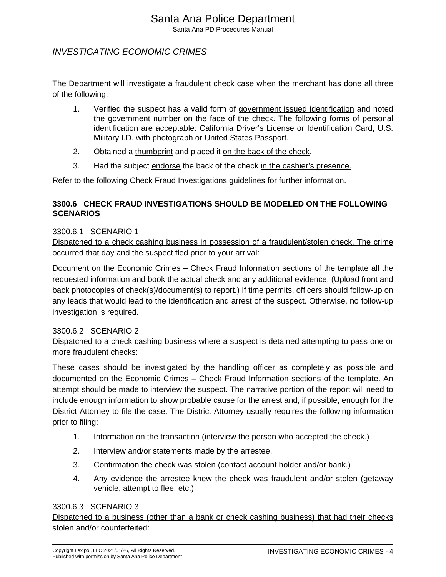# INVESTIGATING ECONOMIC CRIMES

The Department will investigate a fraudulent check case when the merchant has done all three of the following:

- 1. Verified the suspect has a valid form of government issued identification and noted the government number on the face of the check. The following forms of personal identification are acceptable: California Driver's License or Identification Card, U.S. Military I.D. with photograph or United States Passport.
- 2. Obtained a thumbprint and placed it on the back of the check.
- 3. Had the subject endorse the back of the check in the cashier's presence.

Refer to the following Check Fraud Investigations guidelines for further information.

# **3300.6 CHECK FRAUD INVESTIGATIONS SHOULD BE MODELED ON THE FOLLOWING SCENARIOS**

#### 3300.6.1 SCENARIO 1

Dispatched to a check cashing business in possession of a fraudulent/stolen check. The crime occurred that day and the suspect fled prior to your arrival:

Document on the Economic Crimes – Check Fraud Information sections of the template all the requested information and book the actual check and any additional evidence. (Upload front and back photocopies of check(s)/document(s) to report.) If time permits, officers should follow-up on any leads that would lead to the identification and arrest of the suspect. Otherwise, no follow-up investigation is required.

#### 3300.6.2 SCENARIO 2

Dispatched to a check cashing business where a suspect is detained attempting to pass one or more fraudulent checks:

These cases should be investigated by the handling officer as completely as possible and documented on the Economic Crimes – Check Fraud Information sections of the template. An attempt should be made to interview the suspect. The narrative portion of the report will need to include enough information to show probable cause for the arrest and, if possible, enough for the District Attorney to file the case. The District Attorney usually requires the following information prior to filing:

- 1. Information on the transaction (interview the person who accepted the check.)
- 2. Interview and/or statements made by the arrestee.
- 3. Confirmation the check was stolen (contact account holder and/or bank.)
- 4. Any evidence the arrestee knew the check was fraudulent and/or stolen (getaway vehicle, attempt to flee, etc.)

#### 3300.6.3 SCENARIO 3

Dispatched to a business (other than a bank or check cashing business) that had their checks stolen and/or counterfeited: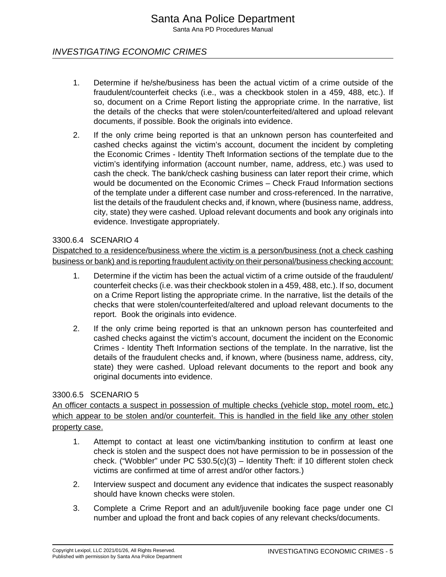# INVESTIGATING ECONOMIC CRIMES

- 1. Determine if he/she/business has been the actual victim of a crime outside of the fraudulent/counterfeit checks (i.e., was a checkbook stolen in a 459, 488, etc.). If so, document on a Crime Report listing the appropriate crime. In the narrative, list the details of the checks that were stolen/counterfeited/altered and upload relevant documents, if possible. Book the originals into evidence.
- 2. If the only crime being reported is that an unknown person has counterfeited and cashed checks against the victim's account, document the incident by completing the Economic Crimes - Identity Theft Information sections of the template due to the victim's identifying information (account number, name, address, etc.) was used to cash the check. The bank/check cashing business can later report their crime, which would be documented on the Economic Crimes – Check Fraud Information sections of the template under a different case number and cross-referenced. In the narrative, list the details of the fraudulent checks and, if known, where (business name, address, city, state) they were cashed. Upload relevant documents and book any originals into evidence. Investigate appropriately.

#### 3300.6.4 SCENARIO 4

Dispatched to a residence/business where the victim is a person/business (not a check cashing business or bank) and is reporting fraudulent activity on their personal/business checking account:

- 1. Determine if the victim has been the actual victim of a crime outside of the fraudulent/ counterfeit checks (i.e. was their checkbook stolen in a 459, 488, etc.). If so, document on a Crime Report listing the appropriate crime. In the narrative, list the details of the checks that were stolen/counterfeited/altered and upload relevant documents to the report. Book the originals into evidence.
- 2. If the only crime being reported is that an unknown person has counterfeited and cashed checks against the victim's account, document the incident on the Economic Crimes - Identity Theft Information sections of the template. In the narrative, list the details of the fraudulent checks and, if known, where (business name, address, city, state) they were cashed. Upload relevant documents to the report and book any original documents into evidence.

#### 3300.6.5 SCENARIO 5

An officer contacts a suspect in possession of multiple checks (vehicle stop, motel room, etc.) which appear to be stolen and/or counterfeit. This is handled in the field like any other stolen property case.

- 1. Attempt to contact at least one victim/banking institution to confirm at least one check is stolen and the suspect does not have permission to be in possession of the check. ("Wobbler" under PC 530.5(c)(3) – Identity Theft: if 10 different stolen check victims are confirmed at time of arrest and/or other factors.)
- 2. Interview suspect and document any evidence that indicates the suspect reasonably should have known checks were stolen.
- 3. Complete a Crime Report and an adult/juvenile booking face page under one CI number and upload the front and back copies of any relevant checks/documents.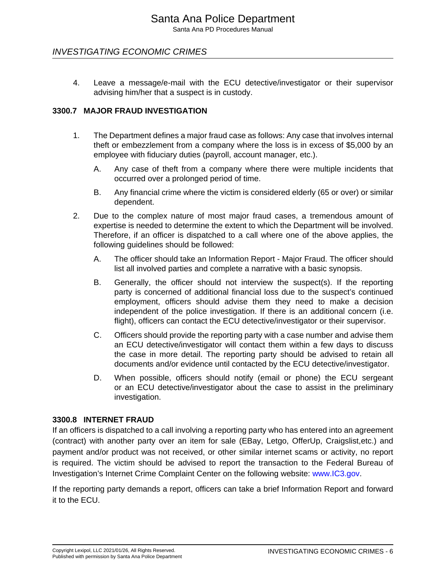# INVESTIGATING ECONOMIC CRIMES

4. Leave a message/e-mail with the ECU detective/investigator or their supervisor advising him/her that a suspect is in custody.

#### **3300.7 MAJOR FRAUD INVESTIGATION**

- 1. The Department defines a major fraud case as follows: Any case that involves internal theft or embezzlement from a company where the loss is in excess of \$5,000 by an employee with fiduciary duties (payroll, account manager, etc.).
	- A. Any case of theft from a company where there were multiple incidents that occurred over a prolonged period of time.
	- B. Any financial crime where the victim is considered elderly (65 or over) or similar dependent.
- 2. Due to the complex nature of most major fraud cases, a tremendous amount of expertise is needed to determine the extent to which the Department will be involved. Therefore, if an officer is dispatched to a call where one of the above applies, the following guidelines should be followed:
	- A. The officer should take an Information Report Major Fraud. The officer should list all involved parties and complete a narrative with a basic synopsis.
	- B. Generally, the officer should not interview the suspect(s). If the reporting party is concerned of additional financial loss due to the suspect's continued employment, officers should advise them they need to make a decision independent of the police investigation. If there is an additional concern (i.e. flight), officers can contact the ECU detective/investigator or their supervisor.
	- C. Officers should provide the reporting party with a case number and advise them an ECU detective/investigator will contact them within a few days to discuss the case in more detail. The reporting party should be advised to retain all documents and/or evidence until contacted by the ECU detective/investigator.
	- D. When possible, officers should notify (email or phone) the ECU sergeant or an ECU detective/investigator about the case to assist in the preliminary investigation.

#### **3300.8 INTERNET FRAUD**

If an officers is dispatched to a call involving a reporting party who has entered into an agreement (contract) with another party over an item for sale (EBay, Letgo, OfferUp, Craigslist,etc.) and payment and/or product was not received, or other similar internet scams or activity, no report is required. The victim should be advised to report the transaction to the Federal Bureau of Investigation's Internet Crime Complaint Center on the following website: [www.IC3.gov.](http://www.IC3.gov)

If the reporting party demands a report, officers can take a brief Information Report and forward it to the ECU.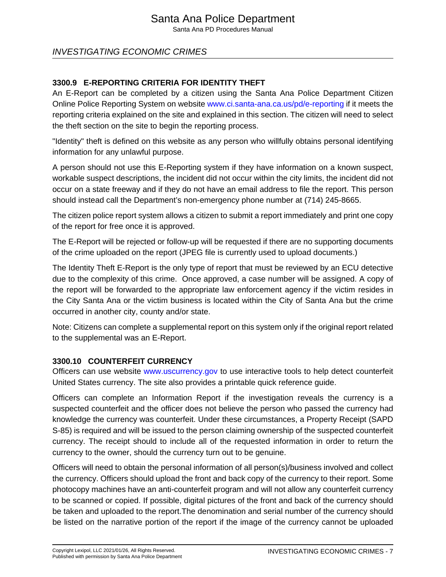# INVESTIGATING ECONOMIC CRIMES

# **3300.9 E-REPORTING CRITERIA FOR IDENTITY THEFT**

An E-Report can be completed by a citizen using the Santa Ana Police Department Citizen Online Police Reporting System on website [www.ci.santa-ana.ca.us/pd/e-reporting](http://www.ci.santa-ana.ca.us/pd/e-reporting) if it meets the reporting criteria explained on the site and explained in this section. The citizen will need to select the theft section on the site to begin the reporting process.

"Identity" theft is defined on this website as any person who willfully obtains personal identifying information for any unlawful purpose.

A person should not use this E-Reporting system if they have information on a known suspect, workable suspect descriptions, the incident did not occur within the city limits, the incident did not occur on a state freeway and if they do not have an email address to file the report. This person should instead call the Department's non-emergency phone number at (714) 245-8665.

The citizen police report system allows a citizen to submit a report immediately and print one copy of the report for free once it is approved.

The E-Report will be rejected or follow-up will be requested if there are no supporting documents of the crime uploaded on the report (JPEG file is currently used to upload documents.)

The Identity Theft E-Report is the only type of report that must be reviewed by an ECU detective due to the complexity of this crime. Once approved, a case number will be assigned. A copy of the report will be forwarded to the appropriate law enforcement agency if the victim resides in the City Santa Ana or the victim business is located within the City of Santa Ana but the crime occurred in another city, county and/or state.

Note: Citizens can complete a supplemental report on this system only if the original report related to the supplemental was an E-Report.

# **3300.10 COUNTERFEIT CURRENCY**

Officers can use website [www.uscurrency.gov](http://www.uscurrency.gov) to use interactive tools to help detect counterfeit United States currency. The site also provides a printable quick reference guide.

Officers can complete an Information Report if the investigation reveals the currency is a suspected counterfeit and the officer does not believe the person who passed the currency had knowledge the currency was counterfeit. Under these circumstances, a Property Receipt (SAPD S-85) is required and will be issued to the person claiming ownership of the suspected counterfeit currency. The receipt should to include all of the requested information in order to return the currency to the owner, should the currency turn out to be genuine.

Officers will need to obtain the personal information of all person(s)/business involved and collect the currency. Officers should upload the front and back copy of the currency to their report. Some photocopy machines have an anti-counterfeit program and will not allow any counterfeit currency to be scanned or copied. If possible, digital pictures of the front and back of the currency should be taken and uploaded to the report.The denomination and serial number of the currency should be listed on the narrative portion of the report if the image of the currency cannot be uploaded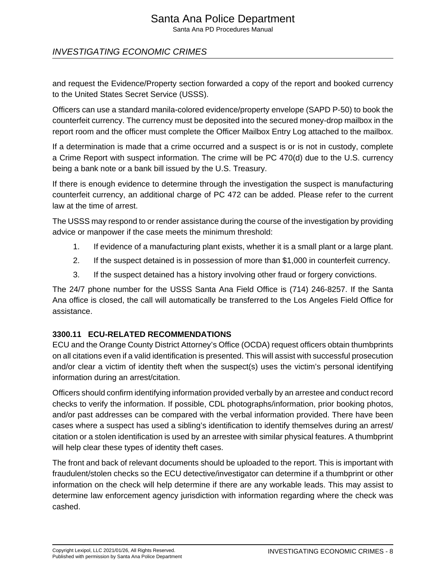# Santa Ana Police Department

Santa Ana PD Procedures Manual

# INVESTIGATING ECONOMIC CRIMES

and request the Evidence/Property section forwarded a copy of the report and booked currency to the United States Secret Service (USSS).

Officers can use a standard manila-colored evidence/property envelope (SAPD P-50) to book the counterfeit currency. The currency must be deposited into the secured money-drop mailbox in the report room and the officer must complete the Officer Mailbox Entry Log attached to the mailbox.

If a determination is made that a crime occurred and a suspect is or is not in custody, complete a Crime Report with suspect information. The crime will be PC 470(d) due to the U.S. currency being a bank note or a bank bill issued by the U.S. Treasury.

If there is enough evidence to determine through the investigation the suspect is manufacturing counterfeit currency, an additional charge of PC 472 can be added. Please refer to the current law at the time of arrest.

The USSS may respond to or render assistance during the course of the investigation by providing advice or manpower if the case meets the minimum threshold:

- 1. If evidence of a manufacturing plant exists, whether it is a small plant or a large plant.
- 2. If the suspect detained is in possession of more than \$1,000 in counterfeit currency.
- 3. If the suspect detained has a history involving other fraud or forgery convictions.

The 24/7 phone number for the USSS Santa Ana Field Office is (714) 246-8257. If the Santa Ana office is closed, the call will automatically be transferred to the Los Angeles Field Office for assistance.

# **3300.11 ECU-RELATED RECOMMENDATIONS**

ECU and the Orange County District Attorney's Office (OCDA) request officers obtain thumbprints on all citations even if a valid identification is presented. This will assist with successful prosecution and/or clear a victim of identity theft when the suspect(s) uses the victim's personal identifying information during an arrest/citation.

Officers should confirm identifying information provided verbally by an arrestee and conduct record checks to verify the information. If possible, CDL photographs/information, prior booking photos, and/or past addresses can be compared with the verbal information provided. There have been cases where a suspect has used a sibling's identification to identify themselves during an arrest/ citation or a stolen identification is used by an arrestee with similar physical features. A thumbprint will help clear these types of identity theft cases.

The front and back of relevant documents should be uploaded to the report. This is important with fraudulent/stolen checks so the ECU detective/investigator can determine if a thumbprint or other information on the check will help determine if there are any workable leads. This may assist to determine law enforcement agency jurisdiction with information regarding where the check was cashed.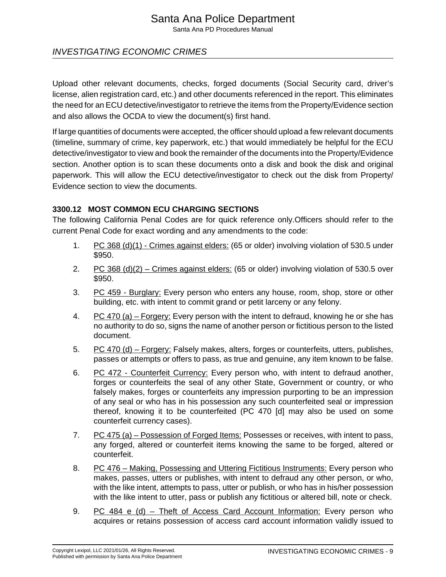# Santa Ana Police Department

Santa Ana PD Procedures Manual

# INVESTIGATING ECONOMIC CRIMES

Upload other relevant documents, checks, forged documents (Social Security card, driver's license, alien registration card, etc.) and other documents referenced in the report. This eliminates the need for an ECU detective/investigator to retrieve the items from the Property/Evidence section and also allows the OCDA to view the document(s) first hand.

If large quantities of documents were accepted, the officer should upload a few relevant documents (timeline, summary of crime, key paperwork, etc.) that would immediately be helpful for the ECU detective/investigator to view and book the remainder of the documents into the Property/Evidence section. Another option is to scan these documents onto a disk and book the disk and original paperwork. This will allow the ECU detective/investigator to check out the disk from Property/ Evidence section to view the documents.

#### **3300.12 MOST COMMON ECU CHARGING SECTIONS**

The following California Penal Codes are for quick reference only.Officers should refer to the current Penal Code for exact wording and any amendments to the code:

- 1. PC 368 (d)(1) Crimes against elders: (65 or older) involving violation of 530.5 under \$950.
- 2. PC 368 (d)(2) Crimes against elders: (65 or older) involving violation of 530.5 over \$950.
- 3. PC 459 Burglary: Every person who enters any house, room, shop, store or other building, etc. with intent to commit grand or petit larceny or any felony.
- 4. PC 470 (a) Forgery: Every person with the intent to defraud, knowing he or she has no authority to do so, signs the name of another person or fictitious person to the listed document.
- 5. PC 470 (d) Forgery: Falsely makes, alters, forges or counterfeits, utters, publishes, passes or attempts or offers to pass, as true and genuine, any item known to be false.
- 6. PC 472 Counterfeit Currency: Every person who, with intent to defraud another, forges or counterfeits the seal of any other State, Government or country, or who falsely makes, forges or counterfeits any impression purporting to be an impression of any seal or who has in his possession any such counterfeited seal or impression thereof, knowing it to be counterfeited (PC 470 [d] may also be used on some counterfeit currency cases).
- 7. PC 475 (a) Possession of Forged Items: Possesses or receives, with intent to pass, any forged, altered or counterfeit items knowing the same to be forged, altered or counterfeit.
- 8. PC 476 Making, Possessing and Uttering Fictitious Instruments: Every person who makes, passes, utters or publishes, with intent to defraud any other person, or who, with the like intent, attempts to pass, utter or publish, or who has in his/her possession with the like intent to utter, pass or publish any fictitious or altered bill, note or check.
- 9. PC 484 e (d) Theft of Access Card Account Information: Every person who acquires or retains possession of access card account information validly issued to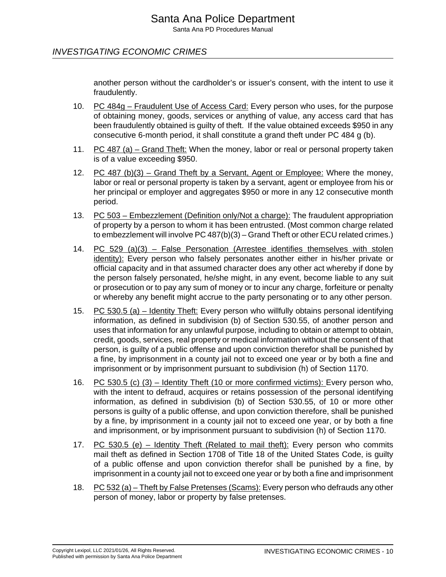another person without the cardholder's or issuer's consent, with the intent to use it fraudulently.

- 10. PC 484g Fraudulent Use of Access Card: Every person who uses, for the purpose of obtaining money, goods, services or anything of value, any access card that has been fraudulently obtained is guilty of theft. If the value obtained exceeds \$950 in any consecutive 6-month period, it shall constitute a grand theft under PC 484 g (b).
- 11. PC 487 (a) Grand Theft: When the money, labor or real or personal property taken is of a value exceeding \$950.
- 12. PC 487 (b)(3) Grand Theft by a Servant, Agent or Employee: Where the money, labor or real or personal property is taken by a servant, agent or employee from his or her principal or employer and aggregates \$950 or more in any 12 consecutive month period.
- 13. PC 503 Embezzlement (Definition only/Not a charge): The fraudulent appropriation of property by a person to whom it has been entrusted. (Most common charge related to embezzlement will involve PC 487(b)(3) – Grand Theft or other ECU related crimes.)
- 14. PC 529 (a)(3) False Personation (Arrestee identifies themselves with stolen identity): Every person who falsely personates another either in his/her private or official capacity and in that assumed character does any other act whereby if done by the person falsely personated, he/she might, in any event, become liable to any suit or prosecution or to pay any sum of money or to incur any charge, forfeiture or penalty or whereby any benefit might accrue to the party personating or to any other person.
- 15. PC 530.5 (a) Identity Theft: Every person who willfully obtains personal identifying information, as defined in subdivision (b) of Section 530.55, of another person and uses that information for any unlawful purpose, including to obtain or attempt to obtain, credit, goods, services, real property or medical information without the consent of that person, is guilty of a public offense and upon conviction therefor shall be punished by a fine, by imprisonment in a county jail not to exceed one year or by both a fine and imprisonment or by imprisonment pursuant to subdivision (h) of Section 1170.
- 16. PC 530.5 (c) (3) Identity Theft (10 or more confirmed victims): Every person who, with the intent to defraud, acquires or retains possession of the personal identifying information, as defined in subdivision (b) of Section 530.55, of 10 or more other persons is guilty of a public offense, and upon conviction therefore, shall be punished by a fine, by imprisonment in a county jail not to exceed one year, or by both a fine and imprisonment, or by imprisonment pursuant to subdivision (h) of Section 1170.
- 17. PC  $530.5$  (e) Identity Theft (Related to mail theft): Every person who commits mail theft as defined in Section 1708 of Title 18 of the United States Code, is guilty of a public offense and upon conviction therefor shall be punished by a fine, by imprisonment in a county jail not to exceed one year or by both a fine and imprisonment
- 18. PC 532 (a) Theft by False Pretenses (Scams): Every person who defrauds any other person of money, labor or property by false pretenses.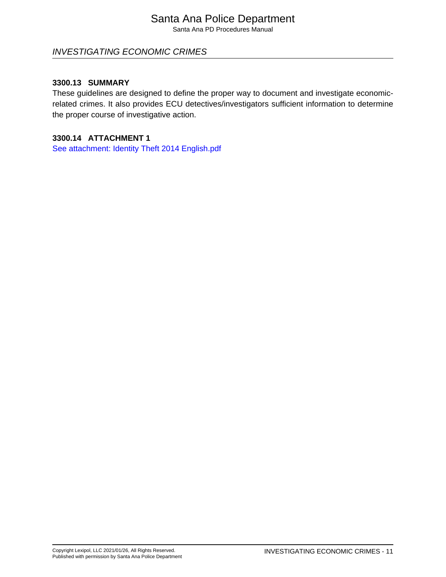# Santa Ana Police Department

Santa Ana PD Procedures Manual

# INVESTIGATING ECONOMIC CRIMES

#### **3300.13 SUMMARY**

These guidelines are designed to define the proper way to document and investigate economicrelated crimes. It also provides ECU detectives/investigators sufficient information to determine the proper course of investigative action.

#### **3300.14 ATTACHMENT 1**

[See attachment: Identity Theft 2014 English.pdf](#page-12-0)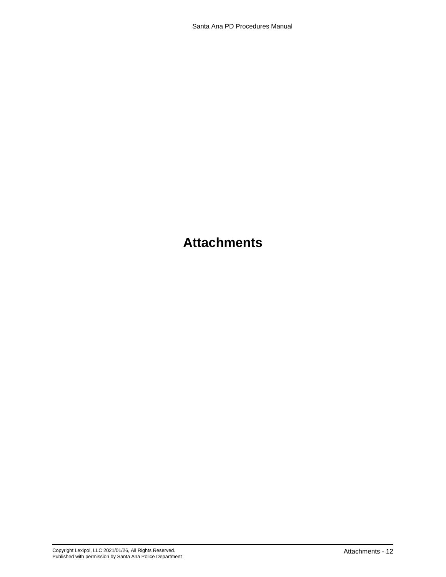# **Attachments**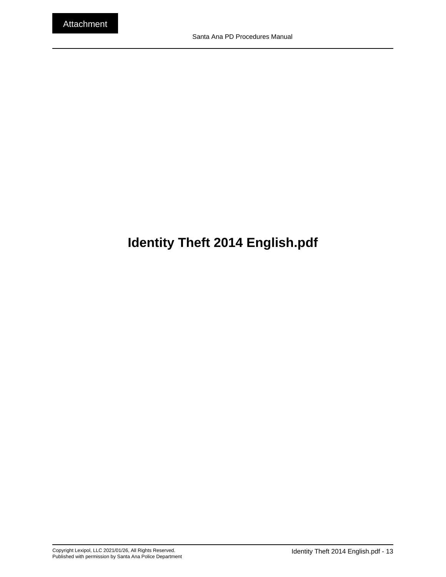# <span id="page-12-0"></span>**Identity Theft 2014 English.pdf**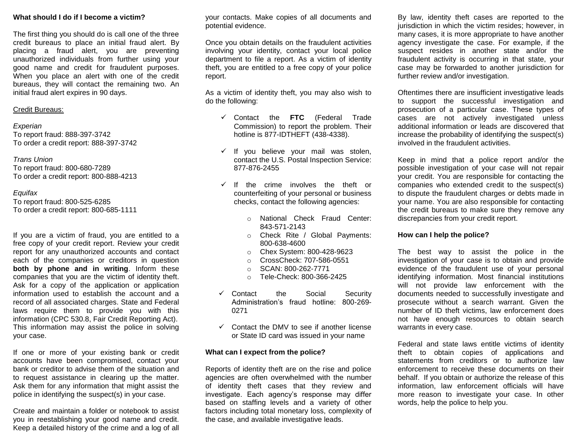#### **What should I do if I become a victim?**

The first thing you should do is call one of the three credit bureaus to place an initial fraud alert. By placing a fraud alert, you are preventing unauthorized individuals from further using your good name and credit for fraudulent purposes. When you place an alert with one of the credit bureaus, they will contact the remaining two. An initial fraud alert expires in 90 days.

#### Credit Bureaus:

#### *Experian*

To report fraud: 888-397-3742 To order a credit report: 888-397-3742

#### *Trans Union*

To report fraud: 800-680-7289 To order a credit report: 800-888-4213

#### *Equifax*

To report fraud: 800-525-6285 To order a credit report: 800-685-1111

If you are a victim of fraud, you are entitled to a free copy of your credit report. Review your credit report for any unauthorized accounts and contact each of the companies or creditors in question **both by phone and in writing**. Inform these companies that you are the victim of identity theft. Ask for a copy of the application or application information used to establish the account and a record of all associated charges. State and Federal laws require them to provide you with this information (CPC 530.8, Fair Credit Reporting Act). This information may assist the police in solving your case.

If one or more of your existing bank or credit accounts have been compromised, contact your bank or creditor to advise them of the situation and to request assistance in clearing up the matter. Ask them for any information that might assist the police in identifying the suspect(s) in your case.

Create and maintain a folder or notebook to assist you in reestablishing your good name and credit. Keep a detailed history of the crime and a log of all

your contacts. Make copies of all documents and potential evidence.

Once you obtain details on the fraudulent activities involving your identity, contact your local police department to file a report. As a victim of identity theft, you are entitled to a free copy of your police report.

As a victim of identity theft, you may also wish to do the following:

- Contact the **FTC** (Federal Trade Commission) to report the problem. Their hotline is 877-IDTHEFT (438-4338).
- $\checkmark$  If you believe your mail was stolen, contact the U.S. Postal Inspection Service: 877-876-2455
- $\checkmark$  If the crime involves the theft or counterfeiting of your personal or business checks, contact the following agencies:
	- o National Check Fraud Center: 843-571-2143
	- o Check Rite / Global Payments: 800-638-4600
	- o Chex System: 800-428-9623
	- o CrossCheck: 707-586-0551
	- o SCAN: 800-262-7771
	- o Tele-Check: 800-366-2425
- Contact the Social Security Administration's fraud hotline: 800-269- 0271
- $\checkmark$  Contact the DMV to see if another license or State ID card was issued in your name

#### **What can I expect from the police?**

Reports of identity theft are on the rise and police agencies are often overwhelmed with the number of identity theft cases that they review and investigate. Each agency's response may differ based on staffing levels and a variety of other factors including total monetary loss, complexity of the case, and available investigative leads.

By law, identity theft cases are reported to the jurisdiction in which the victim resides; however, in many cases, it is more appropriate to have another agency investigate the case. For example, if the suspect resides in another state and/or the fraudulent activity is occurring in that state, your case may be forwarded to another jurisdiction for further review and/or investigation.

Oftentimes there are insufficient investigative leads to support the successful investigation and prosecution of a particular case. These types of cases are not actively investigated unless additional information or leads are discovered that increase the probability of identifying the suspect(s) involved in the fraudulent activities.

Keep in mind that a police report and/or the possible investigation of your case will not repair your credit. You are responsible for contacting the companies who extended credit to the suspect(s) to dispute the fraudulent charges or debts made in your name. You are also responsible for contacting the credit bureaus to make sure they remove any discrepancies from your credit report.

#### **How can I help the police?**

The best way to assist the police in the investigation of your case is to obtain and provide evidence of the fraudulent use of your personal identifying information. Most financial institutions will not provide law enforcement with the documents needed to successfully investigate and prosecute without a search warrant. Given the number of ID theft victims, law enforcement does not have enough resources to obtain search warrants in every case.

Federal and state laws entitle victims of identity theft to obtain copies of applications and statements from creditors or to authorize law enforcement to receive these documents on their behalf. If you obtain or authorize the release of this information, law enforcement officials will have more reason to investigate your case. In other words, help the police to help you.